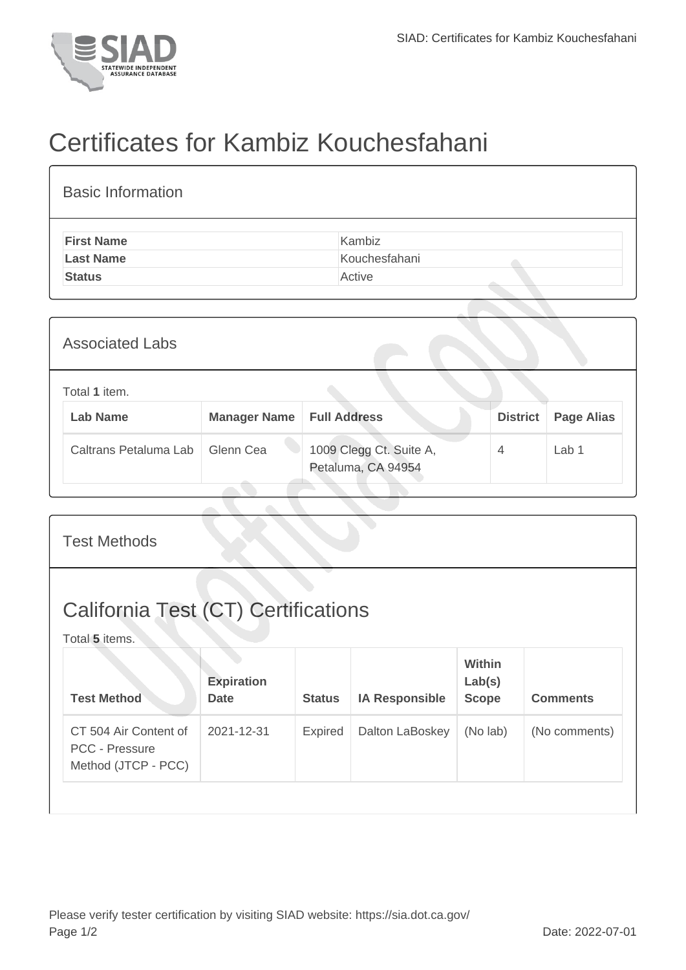

## Certificates for Kambiz Kouchesfahani

| Kambiz<br><b>First Name</b><br>Kouchesfahani<br><b>Last Name</b><br><b>Status</b><br>Active | <b>Basic Information</b> |  |  |  |  |  |  |
|---------------------------------------------------------------------------------------------|--------------------------|--|--|--|--|--|--|
|                                                                                             |                          |  |  |  |  |  |  |
|                                                                                             |                          |  |  |  |  |  |  |
|                                                                                             |                          |  |  |  |  |  |  |

| <b>Associated Labs</b> |                                  |                     |                                               |                 |                   |  |
|------------------------|----------------------------------|---------------------|-----------------------------------------------|-----------------|-------------------|--|
|                        | Total 1 item.<br><b>Lab Name</b> | <b>Manager Name</b> | <b>Full Address</b>                           | <b>District</b> | <b>Page Alias</b> |  |
|                        | Caltrans Petaluma Lab            | Glenn Cea           | 1009 Clegg Ct. Suite A,<br>Petaluma, CA 94954 | 4               | Lab <sub>1</sub>  |  |

| <b>Test Methods</b>                                                   |                                  |               |                       |                                         |                 |  |
|-----------------------------------------------------------------------|----------------------------------|---------------|-----------------------|-----------------------------------------|-----------------|--|
| <b>California Test (CT) Certifications</b><br>Total 5 items.          |                                  |               |                       |                                         |                 |  |
| <b>Test Method</b>                                                    | <b>Expiration</b><br><b>Date</b> | <b>Status</b> | <b>IA Responsible</b> | <b>Within</b><br>Lab(s)<br><b>Scope</b> | <b>Comments</b> |  |
| CT 504 Air Content of<br><b>PCC - Pressure</b><br>Method (JTCP - PCC) | 2021-12-31                       | Expired       | Dalton LaBoskey       | (No lab)                                | (No comments)   |  |
|                                                                       |                                  |               |                       |                                         |                 |  |